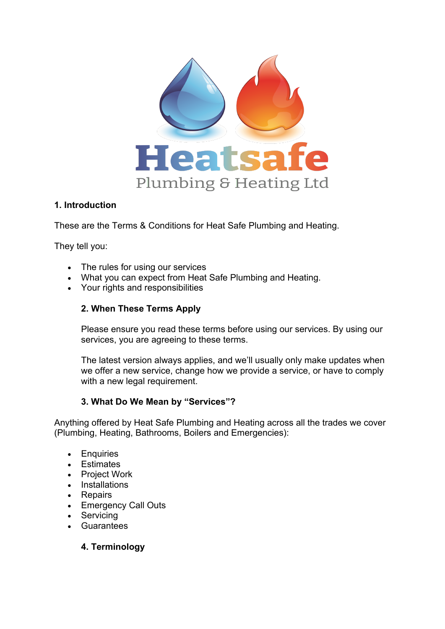

## **1. Introduction**

These are the Terms & Conditions for Heat Safe Plumbing and Heating.

They tell you:

- The rules for using our services
- What you can expect from Heat Safe Plumbing and Heating.
- Your rights and responsibilities

# **2. When These Terms Apply**

Please ensure you read these terms before using our services. By using our services, you are agreeing to these terms.

The latest version always applies, and we'll usually only make updates when we offer a new service, change how we provide a service, or have to comply with a new legal requirement.

# **3. What Do We Mean by "Services"?**

Anything offered by Heat Safe Plumbing and Heating across all the trades we cover (Plumbing, Heating, Bathrooms, Boilers and Emergencies):

- Enquiries
- Estimates
- Project Work
- Installations
- Repairs
- Emergency Call Outs
- Servicing
- **Guarantees**

# **4. Terminology**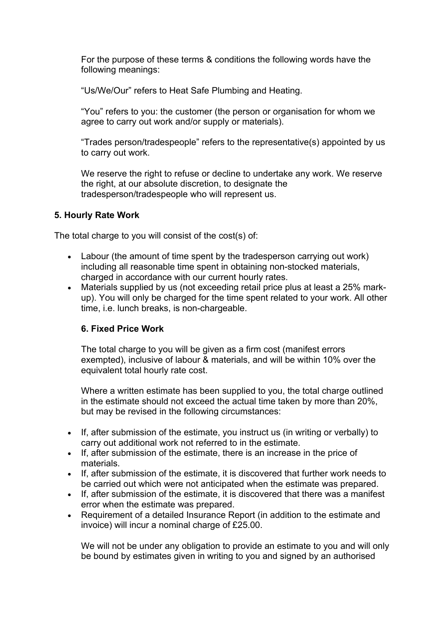For the purpose of these terms & conditions the following words have the following meanings:

"Us/We/Our" refers to Heat Safe Plumbing and Heating.

"You" refers to you: the customer (the person or organisation for whom we agree to carry out work and/or supply or materials).

"Trades person/tradespeople" refers to the representative(s) appointed by us to carry out work.

We reserve the right to refuse or decline to undertake any work. We reserve the right, at our absolute discretion, to designate the tradesperson/tradespeople who will represent us.

## **5. Hourly Rate Work**

The total charge to you will consist of the cost(s) of:

- Labour (the amount of time spent by the tradesperson carrying out work) including all reasonable time spent in obtaining non-stocked materials, charged in accordance with our current hourly rates.
- Materials supplied by us (not exceeding retail price plus at least a 25% markup). You will only be charged for the time spent related to your work. All other time, i.e. lunch breaks, is non-chargeable.

# **6. Fixed Price Work**

The total charge to you will be given as a firm cost (manifest errors exempted), inclusive of labour & materials, and will be within 10% over the equivalent total hourly rate cost.

Where a written estimate has been supplied to you, the total charge outlined in the estimate should not exceed the actual time taken by more than 20%, but may be revised in the following circumstances:

- If, after submission of the estimate, you instruct us (in writing or verbally) to carry out additional work not referred to in the estimate.
- If, after submission of the estimate, there is an increase in the price of materials.
- If, after submission of the estimate, it is discovered that further work needs to be carried out which were not anticipated when the estimate was prepared.
- If, after submission of the estimate, it is discovered that there was a manifest error when the estimate was prepared.
- Requirement of a detailed Insurance Report (in addition to the estimate and invoice) will incur a nominal charge of £25.00.

We will not be under any obligation to provide an estimate to you and will only be bound by estimates given in writing to you and signed by an authorised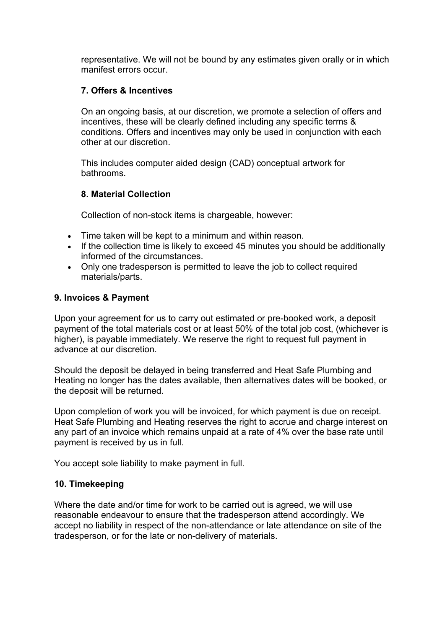representative. We will not be bound by any estimates given orally or in which manifest errors occur.

## **7. Offers & Incentives**

On an ongoing basis, at our discretion, we promote a selection of offers and incentives, these will be clearly defined including any specific terms & conditions. Offers and incentives may only be used in conjunction with each other at our discretion.

This includes computer aided design (CAD) conceptual artwork for bathrooms.

## **8. Material Collection**

Collection of non-stock items is chargeable, however:

- Time taken will be kept to a minimum and within reason.
- If the collection time is likely to exceed 45 minutes you should be additionally informed of the circumstances.
- Only one tradesperson is permitted to leave the job to collect required materials/parts.

#### **9. Invoices & Payment**

Upon your agreement for us to carry out estimated or pre-booked work, a deposit payment of the total materials cost or at least 50% of the total job cost, (whichever is higher), is payable immediately. We reserve the right to request full payment in advance at our discretion.

Should the deposit be delayed in being transferred and Heat Safe Plumbing and Heating no longer has the dates available, then alternatives dates will be booked, or the deposit will be returned.

Upon completion of work you will be invoiced, for which payment is due on receipt. Heat Safe Plumbing and Heating reserves the right to accrue and charge interest on any part of an invoice which remains unpaid at a rate of 4% over the base rate until payment is received by us in full.

You accept sole liability to make payment in full.

#### **10. Timekeeping**

Where the date and/or time for work to be carried out is agreed, we will use reasonable endeavour to ensure that the tradesperson attend accordingly. We accept no liability in respect of the non-attendance or late attendance on site of the tradesperson, or for the late or non-delivery of materials.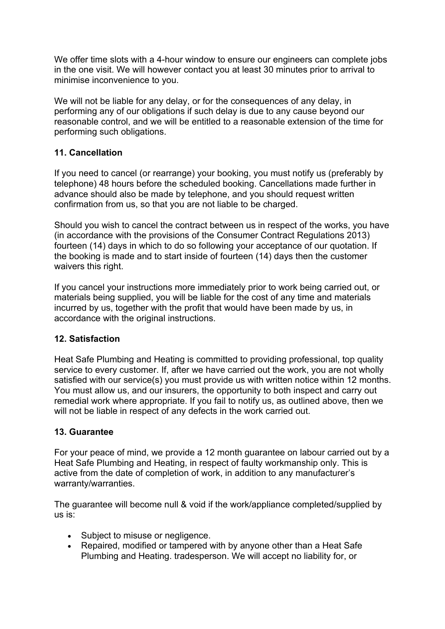We offer time slots with a 4-hour window to ensure our engineers can complete jobs in the one visit. We will however contact you at least 30 minutes prior to arrival to minimise inconvenience to you.

We will not be liable for any delay, or for the consequences of any delay, in performing any of our obligations if such delay is due to any cause beyond our reasonable control, and we will be entitled to a reasonable extension of the time for performing such obligations.

## **11. Cancellation**

If you need to cancel (or rearrange) your booking, you must notify us (preferably by telephone) 48 hours before the scheduled booking. Cancellations made further in advance should also be made by telephone, and you should request written confirmation from us, so that you are not liable to be charged.

Should you wish to cancel the contract between us in respect of the works, you have (in accordance with the provisions of the Consumer Contract Regulations 2013) fourteen (14) days in which to do so following your acceptance of our quotation. If the booking is made and to start inside of fourteen (14) days then the customer waivers this right.

If you cancel your instructions more immediately prior to work being carried out, or materials being supplied, you will be liable for the cost of any time and materials incurred by us, together with the profit that would have been made by us, in accordance with the original instructions.

## **12. Satisfaction**

Heat Safe Plumbing and Heating is committed to providing professional, top quality service to every customer. If, after we have carried out the work, you are not wholly satisfied with our service(s) you must provide us with written notice within 12 months. You must allow us, and our insurers, the opportunity to both inspect and carry out remedial work where appropriate. If you fail to notify us, as outlined above, then we will not be liable in respect of any defects in the work carried out.

## **13. Guarantee**

For your peace of mind, we provide a 12 month guarantee on labour carried out by a Heat Safe Plumbing and Heating, in respect of faulty workmanship only. This is active from the date of completion of work, in addition to any manufacturer's warranty/warranties.

The guarantee will become null & void if the work/appliance completed/supplied by us is:

- Subject to misuse or negligence.
- Repaired, modified or tampered with by anyone other than a Heat Safe Plumbing and Heating. tradesperson. We will accept no liability for, or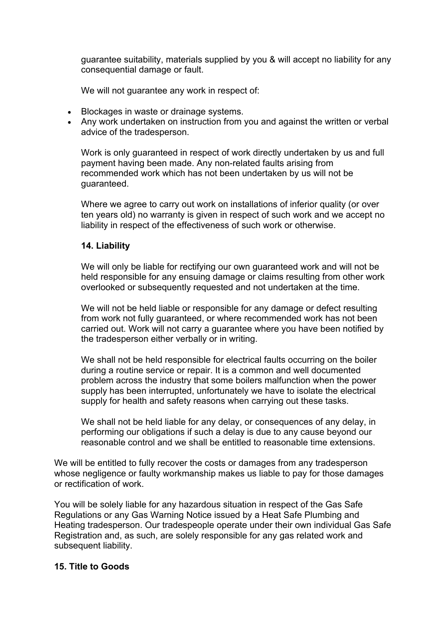guarantee suitability, materials supplied by you & will accept no liability for any consequential damage or fault.

We will not guarantee any work in respect of:

- Blockages in waste or drainage systems.
- Any work undertaken on instruction from you and against the written or verbal advice of the tradesperson.

Work is only guaranteed in respect of work directly undertaken by us and full payment having been made. Any non-related faults arising from recommended work which has not been undertaken by us will not be guaranteed.

Where we agree to carry out work on installations of inferior quality (or over ten years old) no warranty is given in respect of such work and we accept no liability in respect of the effectiveness of such work or otherwise.

## **14. Liability**

We will only be liable for rectifying our own guaranteed work and will not be held responsible for any ensuing damage or claims resulting from other work overlooked or subsequently requested and not undertaken at the time.

We will not be held liable or responsible for any damage or defect resulting from work not fully guaranteed, or where recommended work has not been carried out. Work will not carry a guarantee where you have been notified by the tradesperson either verbally or in writing.

We shall not be held responsible for electrical faults occurring on the boiler during a routine service or repair. It is a common and well documented problem across the industry that some boilers malfunction when the power supply has been interrupted, unfortunately we have to isolate the electrical supply for health and safety reasons when carrying out these tasks.

We shall not be held liable for any delay, or consequences of any delay, in performing our obligations if such a delay is due to any cause beyond our reasonable control and we shall be entitled to reasonable time extensions.

We will be entitled to fully recover the costs or damages from any tradesperson whose negligence or faulty workmanship makes us liable to pay for those damages or rectification of work.

You will be solely liable for any hazardous situation in respect of the Gas Safe Regulations or any Gas Warning Notice issued by a Heat Safe Plumbing and Heating tradesperson. Our tradespeople operate under their own individual Gas Safe Registration and, as such, are solely responsible for any gas related work and subsequent liability.

## **15. Title to Goods**